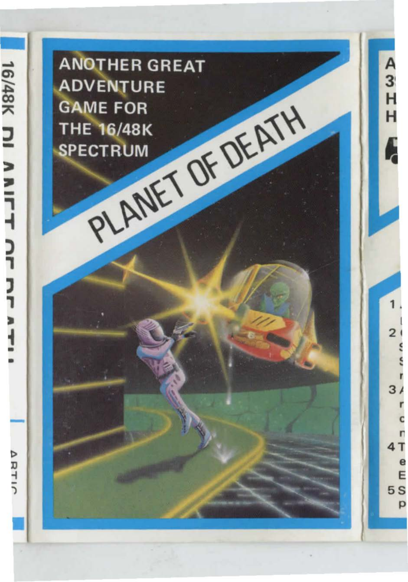**ANOTHER GREAT ADVENTURE** PLANET OF DEATH **GAME FOR THE 16/48K SPECTRUM**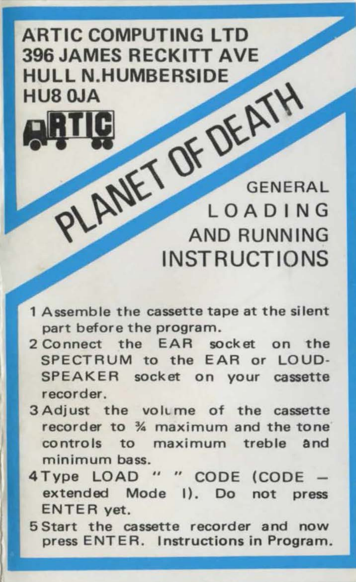## ARTIC COMPUTING LTD 396 JAMES RECKITT AVE HIII I N HUMRERSIDE HUR OIA

LANET OF DEATH GENERAL **IOADING INSTRUCTIONS** 

- 1 Assemble the cassette tape at the silent part before the program.
- 2 Connect the EAR socket on the SPECTRUM to the EAR or LOUD-SPEAKER socket on your cassette **recorder.**
- 3 Adjust the volume of the cassette recorder to % maximum and the tone controls to maximum treble and **minimum bass.**
- 4 Type LOAD " " CODE (CODE extended Mode I). Do not press ENTER yet.
- 5 Start the cassette recorder and now press ENTER. Instructions in Program.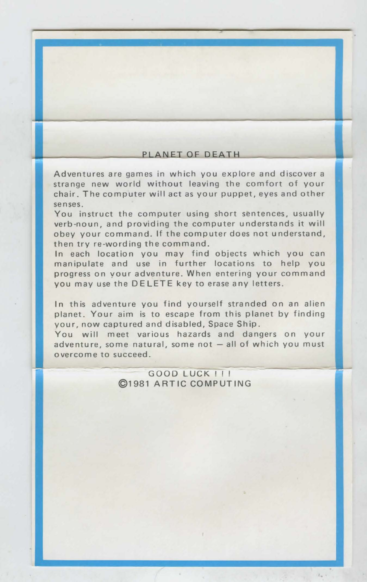## PLANET OF DEATH

-

Adventures are games in which you explore and discover a strange new world without leaving the comfort of your chair . The computer will act as your puppet, eyes and other senses .

You instruct the computer using short sentences, usually verb -noun, and providing the computer understands it will obey your command. If the computer does not understand, then try re-wording the command.

In each location you may find objects which you can manipulate and use in further locations to help you progress on your adventure. When entering your command you may use the DELETE key to erase any letters.

In this adventure you find yourself stranded on an alien planet. Your aim is to escape from this planet by finding your, now captured and disabled, Space Ship.

You will meet various hazards and dangers on your adventure, some natural, some not  $-$  all of which you must overcome to succeed.

> $GOOD LUEK$ <sup>111</sup> ©1981 ARTIC COMPUTING